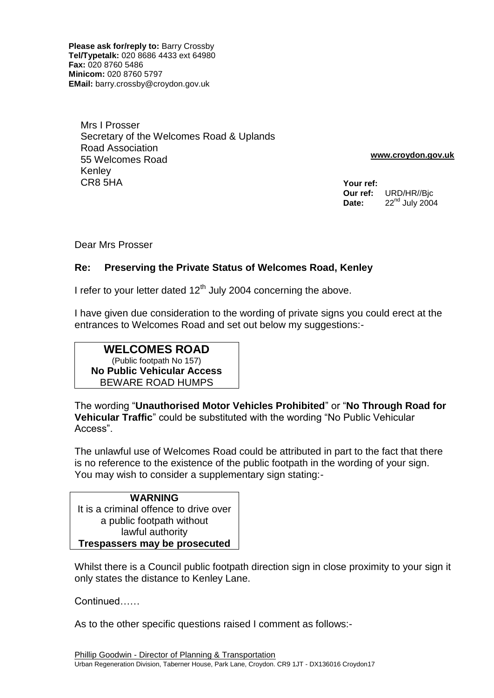**Please ask for/reply to:** Barry Crossby **Tel/Typetalk:** 020 8686 4433 ext 64980 **Fax:** 020 8760 5486 **Minicom:** 020 8760 5797 **EMail:** barry.crossby@croydon.gov.uk

Mrs I Prosser Secretary of the Welcomes Road & Uplands Road Association 55 Welcomes Road Kenley CR8 5HA

 **www.croydon.gov.uk**

**Your ref: Our ref:** URD/HR//Bjc **Date:** 22<sup>nd</sup> July 2004

Dear Mrs Prosser

#### **Re: Preserving the Private Status of Welcomes Road, Kenley**

I refer to your letter dated  $12<sup>th</sup>$  July 2004 concerning the above.

I have given due consideration to the wording of private signs you could erect at the entrances to Welcomes Road and set out below my suggestions:-

## **WELCOMES ROAD** (Public footpath No 157) **No Public Vehicular Access** BEWARE ROAD HUMPS

The wording "**Unauthorised Motor Vehicles Prohibited**" or "**No Through Road for Vehicular Traffic**" could be substituted with the wording "No Public Vehicular Access".

The unlawful use of Welcomes Road could be attributed in part to the fact that there is no reference to the existence of the public footpath in the wording of your sign. You may wish to consider a supplementary sign stating:-

## **WARNING** It is a criminal offence to drive over a public footpath without lawful authority **Trespassers may be prosecuted**

Whilst there is a Council public footpath direction sign in close proximity to your sign it only states the distance to Kenley Lane.

Continued……

As to the other specific questions raised I comment as follows:-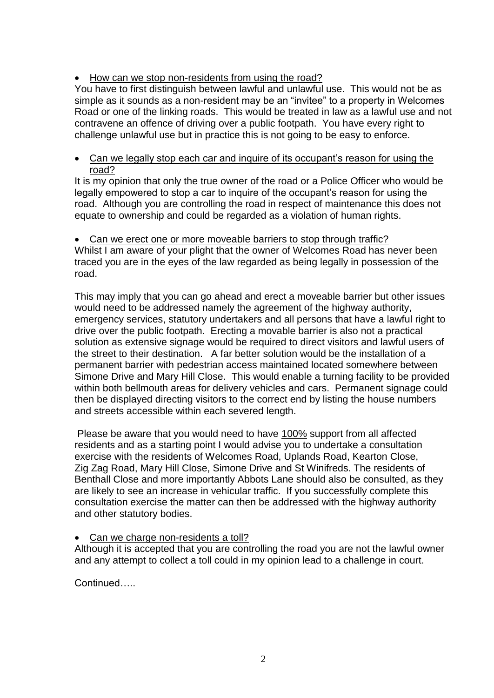# • How can we stop non-residents from using the road?

You have to first distinguish between lawful and unlawful use. This would not be as simple as it sounds as a non-resident may be an "invitee" to a property in Welcomes Road or one of the linking roads. This would be treated in law as a lawful use and not contravene an offence of driving over a public footpath. You have every right to challenge unlawful use but in practice this is not going to be easy to enforce.

#### • Can we legally stop each car and inquire of its occupant's reason for using the road?

It is my opinion that only the true owner of the road or a Police Officer who would be legally empowered to stop a car to inquire of the occupant's reason for using the road. Although you are controlling the road in respect of maintenance this does not equate to ownership and could be regarded as a violation of human rights.

• Can we erect one or more moveable barriers to stop through traffic? Whilst I am aware of your plight that the owner of Welcomes Road has never been traced you are in the eyes of the law regarded as being legally in possession of the road.

This may imply that you can go ahead and erect a moveable barrier but other issues would need to be addressed namely the agreement of the highway authority, emergency services, statutory undertakers and all persons that have a lawful right to drive over the public footpath. Erecting a movable barrier is also not a practical solution as extensive signage would be required to direct visitors and lawful users of the street to their destination. A far better solution would be the installation of a permanent barrier with pedestrian access maintained located somewhere between Simone Drive and Mary Hill Close. This would enable a turning facility to be provided within both bellmouth areas for delivery vehicles and cars. Permanent signage could then be displayed directing visitors to the correct end by listing the house numbers and streets accessible within each severed length.

Please be aware that you would need to have 100% support from all affected residents and as a starting point I would advise you to undertake a consultation exercise with the residents of Welcomes Road, Uplands Road, Kearton Close, Zig Zag Road, Mary Hill Close, Simone Drive and St Winifreds. The residents of Benthall Close and more importantly Abbots Lane should also be consulted, as they are likely to see an increase in vehicular traffic. If you successfully complete this consultation exercise the matter can then be addressed with the highway authority and other statutory bodies.

#### • Can we charge non-residents a toll?

Although it is accepted that you are controlling the road you are not the lawful owner and any attempt to collect a toll could in my opinion lead to a challenge in court.

Continued…..